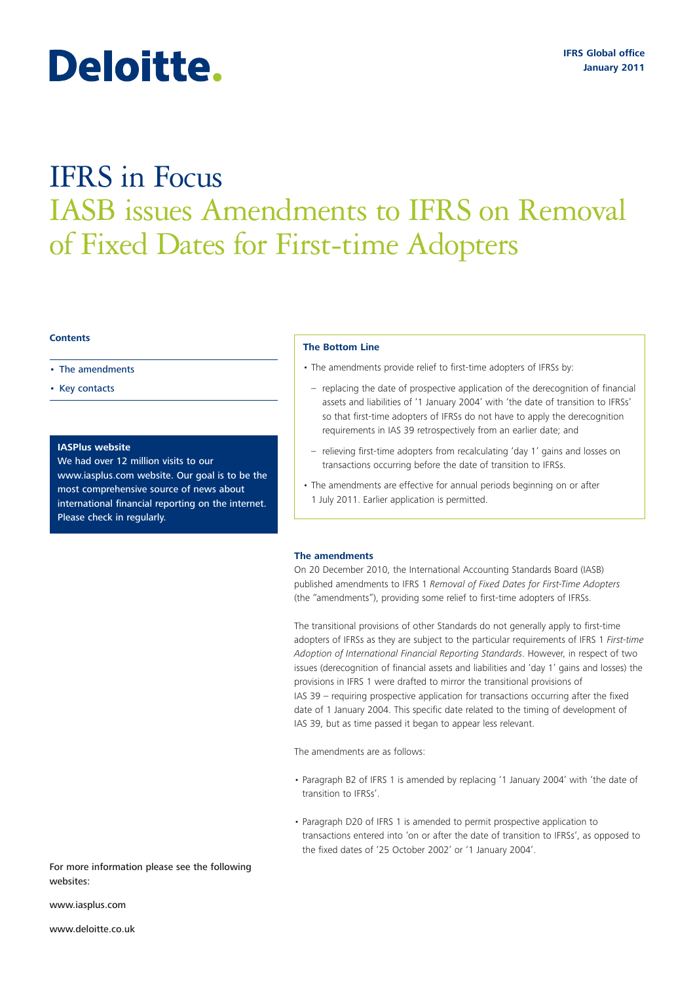# Deloitte.

## IFRS in Focus IASB issues Amendments to IFRS on Removal of Fixed Dates for First-time Adopters

#### **Contents**

- The amendments
- Key contacts

#### **IASPlus website**

We had over 12 million visits to our www.iasplus.com website. Our goal is to be the most comprehensive source of news about international financial reporting on the internet. Please check in regularly.

#### **The Bottom Line**

- The amendments provide relief to first-time adopters of IFRSs by:
- replacing the date of prospective application of the derecognition of financial assets and liabilities of '1 January 2004' with 'the date of transition to IFRSs' so that first-time adopters of IFRSs do not have to apply the derecognition requirements in IAS 39 retrospectively from an earlier date; and
- relieving first-time adopters from recalculating 'day 1' gains and losses on transactions occurring before the date of transition to IFRSs.
- The amendments are effective for annual periods beginning on or after 1 July 2011. Earlier application is permitted.

#### **The amendments**

On 20 December 2010, the International Accounting Standards Board (IASB) published amendments to IFRS 1 *Removal of Fixed Dates for First-Time Adopters* (the "amendments"), providing some relief to first-time adopters of IFRSs.

The transitional provisions of other Standards do not generally apply to first-time adopters of IFRSs as they are subject to the particular requirements of IFRS 1 *First-time Adoption of International Financial Reporting Standards*. However, in respect of two issues (derecognition of financial assets and liabilities and 'day 1' gains and losses) the provisions in IFRS 1 were drafted to mirror the transitional provisions of IAS 39 – requiring prospective application for transactions occurring after the fixed date of 1 January 2004. This specific date related to the timing of development of IAS 39, but as time passed it began to appear less relevant.

The amendments are as follows:

- Paragraph B2 of IFRS 1 is amended by replacing '1 January 2004' with 'the date of transition to IFRSs'.
- Paragraph D20 of IFRS 1 is amended to permit prospective application to transactions entered into 'on or after the date of transition to IFRSs', as opposed to the fixed dates of '25 October 2002' or '1 January 2004'.

For more information please see the following websites:

www.iasplus.com

www.deloitte.co.uk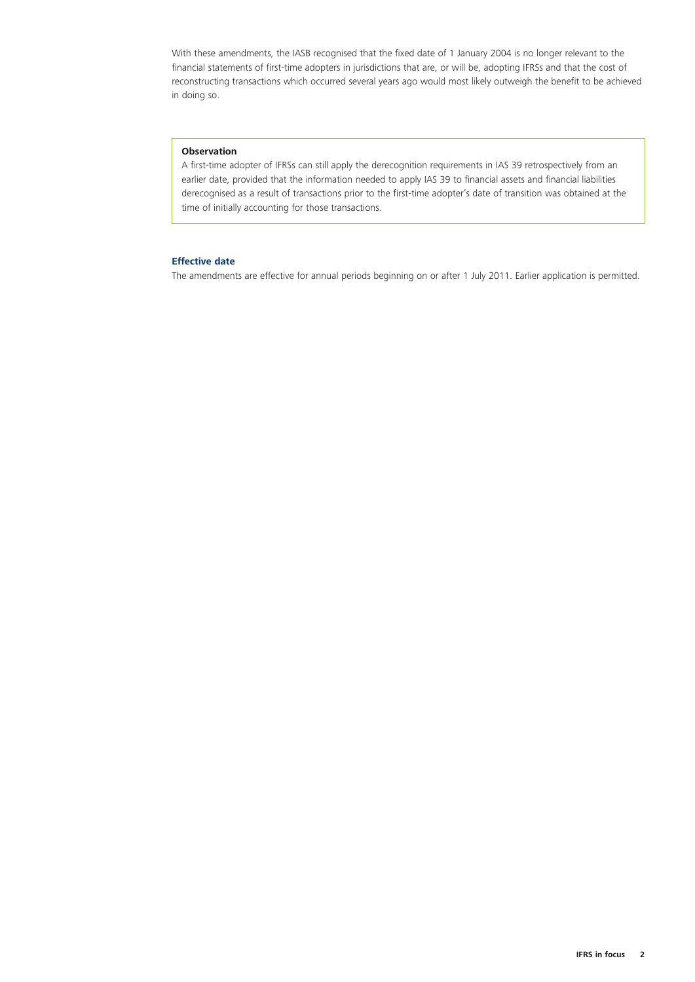With these amendments, the IASB recognised that the fixed date of 1 January 2004 is no longer relevant to the financial statements of first-time adopters in jurisdictions that are, or will be, adopting IFRSs and that the cost of reconstructing transactions which occurred several years ago would most likely outweigh the benefit to be achieved in doing so.

#### **Observation**

A first-time adopter of IFRSs can still apply the derecognition requirements in IAS 39 retrospectively from an earlier date, provided that the information needed to apply IAS 39 to financial assets and financial liabilities derecognised as a result of transactions prior to the first-time adopter's date of transition was obtained at the time of initially accounting for those transactions.

#### **Effective date**

The amendments are effective for annual periods beginning on or after 1 July 2011. Earlier application is permitted.